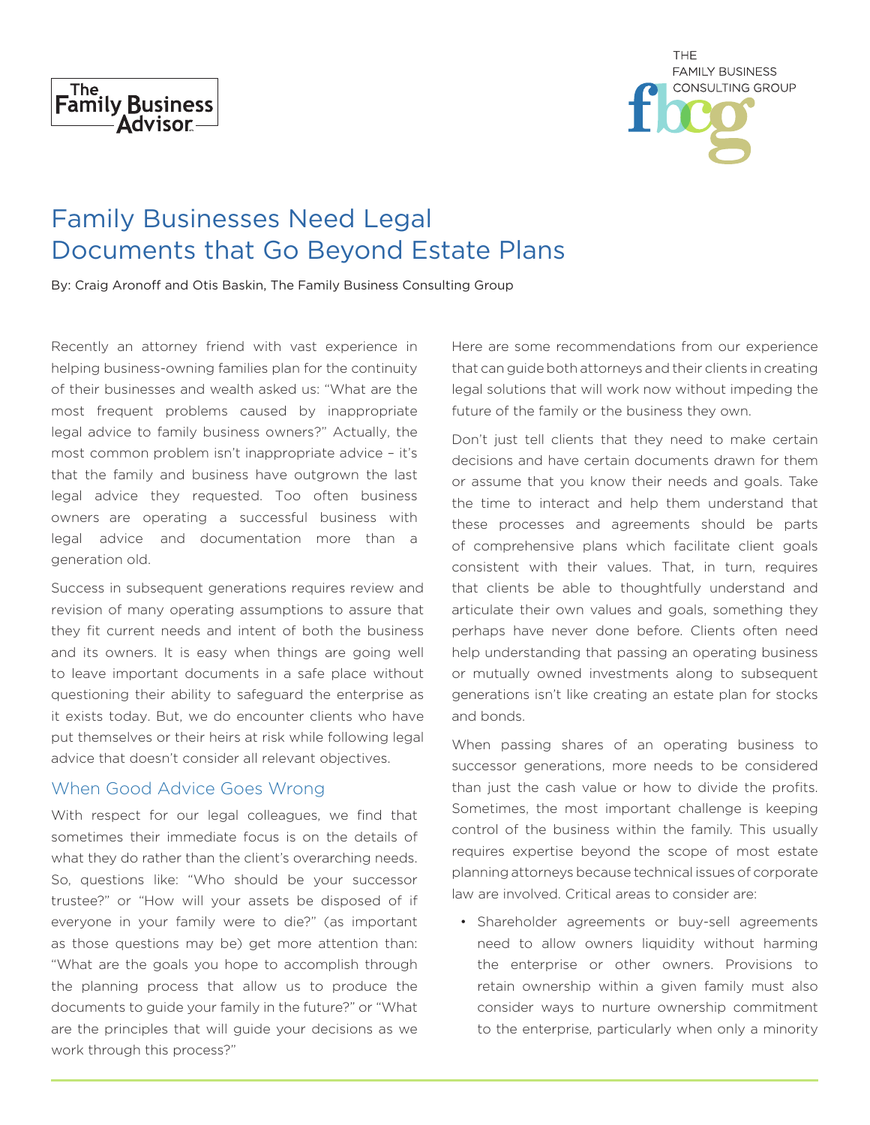



# Family Businesses Need Legal Documents that Go Beyond Estate Plans

By: Craig Aronoff and Otis Baskin, The Family Business Consulting Group

Recently an attorney friend with vast experience in helping business-owning families plan for the continuity of their businesses and wealth asked us: "What are the most frequent problems caused by inappropriate legal advice to family business owners?" Actually, the most common problem isn't inappropriate advice – it's that the family and business have outgrown the last legal advice they requested. Too often business owners are operating a successful business with legal advice and documentation more than a generation old.

Success in subsequent generations requires review and revision of many operating assumptions to assure that they fit current needs and intent of both the business and its owners. It is easy when things are going well to leave important documents in a safe place without questioning their ability to safeguard the enterprise as it exists today. But, we do encounter clients who have put themselves or their heirs at risk while following legal advice that doesn't consider all relevant objectives.

#### When Good Advice Goes Wrong

With respect for our legal colleagues, we find that sometimes their immediate focus is on the details of what they do rather than the client's overarching needs. So, questions like: "Who should be your successor trustee?" or "How will your assets be disposed of if everyone in your family were to die?" (as important as those questions may be) get more attention than: "What are the goals you hope to accomplish through the planning process that allow us to produce the documents to guide your family in the future?" or "What are the principles that will guide your decisions as we work through this process?"

Here are some recommendations from our experience that can guide both attorneys and their clients in creating legal solutions that will work now without impeding the future of the family or the business they own.

Don't just tell clients that they need to make certain decisions and have certain documents drawn for them or assume that you know their needs and goals. Take the time to interact and help them understand that these processes and agreements should be parts of comprehensive plans which facilitate client goals consistent with their values. That, in turn, requires that clients be able to thoughtfully understand and articulate their own values and goals, something they perhaps have never done before. Clients often need help understanding that passing an operating business or mutually owned investments along to subsequent generations isn't like creating an estate plan for stocks and bonds.

When passing shares of an operating business to successor generations, more needs to be considered than just the cash value or how to divide the profits. Sometimes, the most important challenge is keeping control of the business within the family. This usually requires expertise beyond the scope of most estate planning attorneys because technical issues of corporate law are involved. Critical areas to consider are:

• Shareholder agreements or buy-sell agreements need to allow owners liquidity without harming the enterprise or other owners. Provisions to retain ownership within a given family must also consider ways to nurture ownership commitment to the enterprise, particularly when only a minority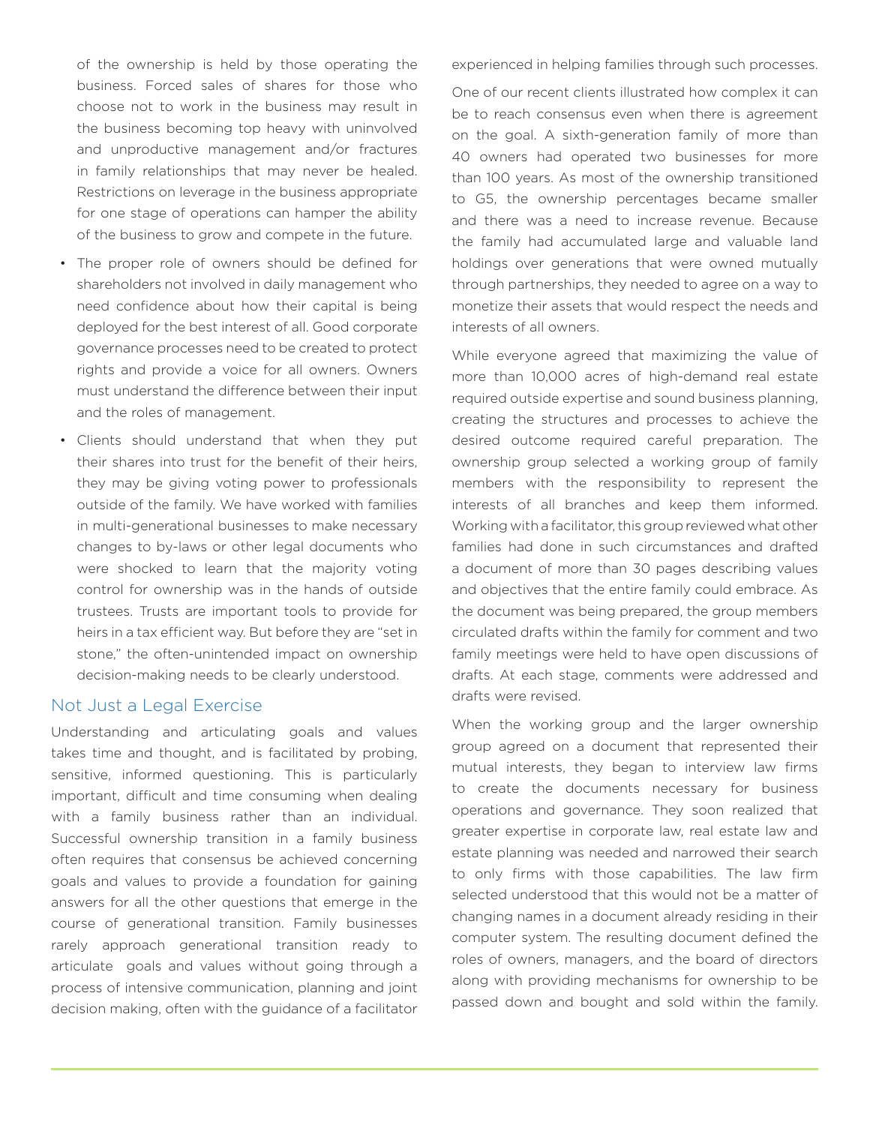of the ownership is held by those operating the business. Forced sales of shares for those who choose not to work in the business may result in the business becoming top heavy with uninvolved and unproductive management and/or fractures in family relationships that may never be healed. Restrictions on leverage in the business appropriate for one stage of operations can hamper the ability of the business to grow and compete in the future.

- The proper role of owners should be defined for shareholders not involved in daily management who need confidence about how their capital is being deployed for the best interest of all. Good corporate governance processes need to be created to protect rights and provide a voice for all owners. Owners must understand the difference between their input and the roles of management.
- Clients should understand that when they put their shares into trust for the benefit of their heirs, they may be giving voting power to professionals outside of the family. We have worked with families in multi-generational businesses to make necessary changes to by-laws or other legal documents who were shocked to learn that the majority voting control for ownership was in the hands of outside trustees. Trusts are important tools to provide for heirs in a tax efficient way. But before they are "set in stone," the often-unintended impact on ownership decision-making needs to be clearly understood.

#### Not Just a Legal Exercise

Understanding and articulating goals and values takes time and thought, and is facilitated by probing, sensitive, informed questioning. This is particularly important, difficult and time consuming when dealing with a family business rather than an individual. Successful ownership transition in a family business often requires that consensus be achieved concerning goals and values to provide a foundation for gaining answers for all the other questions that emerge in the course of generational transition. Family businesses rarely approach generational transition ready to articulate goals and values without going through a process of intensive communication, planning and joint decision making, often with the guidance of a facilitator

experienced in helping families through such processes.

One of our recent clients illustrated how complex it can be to reach consensus even when there is agreement on the goal. A sixth-generation family of more than 40 owners had operated two businesses for more than 100 years. As most of the ownership transitioned to G5, the ownership percentages became smaller and there was a need to increase revenue. Because the family had accumulated large and valuable land holdings over generations that were owned mutually through partnerships, they needed to agree on a way to monetize their assets that would respect the needs and interests of all owners.

While everyone agreed that maximizing the value of more than 10,000 acres of high-demand real estate required outside expertise and sound business planning, creating the structures and processes to achieve the desired outcome required careful preparation. The ownership group selected a working group of family members with the responsibility to represent the interests of all branches and keep them informed. Working with a facilitator, this group reviewed what other families had done in such circumstances and drafted a document of more than 30 pages describing values and objectives that the entire family could embrace. As the document was being prepared, the group members circulated drafts within the family for comment and two family meetings were held to have open discussions of drafts. At each stage, comments were addressed and drafts were revised.

When the working group and the larger ownership group agreed on a document that represented their mutual interests, they began to interview law firms to create the documents necessary for business operations and governance. They soon realized that greater expertise in corporate law, real estate law and estate planning was needed and narrowed their search to only firms with those capabilities. The law firm selected understood that this would not be a matter of changing names in a document already residing in their computer system. The resulting document defined the roles of owners, managers, and the board of directors along with providing mechanisms for ownership to be passed down and bought and sold within the family.